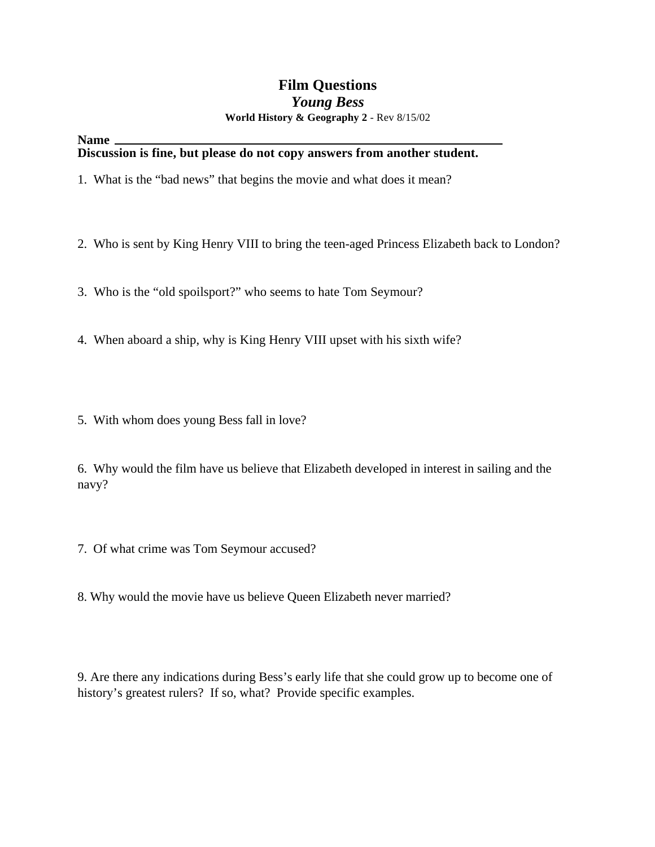### **Film Questions** *Young Bess* **World History & Geography 2** - Rev 8/15/02

**Name**

#### **Discussion is fine, but please do not copy answers from another student.**

- 1. What is the "bad news" that begins the movie and what does it mean?
- 2. Who is sent by King Henry VIII to bring the teen-aged Princess Elizabeth back to London?
- 3. Who is the "old spoilsport?" who seems to hate Tom Seymour?
- 4. When aboard a ship, why is King Henry VIII upset with his sixth wife?
- 5. With whom does young Bess fall in love?

6. Why would the film have us believe that Elizabeth developed in interest in sailing and the navy?

- 7. Of what crime was Tom Seymour accused?
- 8. Why would the movie have us believe Queen Elizabeth never married?

9. Are there any indications during Bess's early life that she could grow up to become one of history's greatest rulers? If so, what? Provide specific examples.